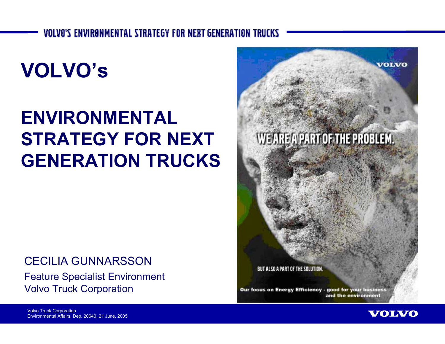# **VOLVO's**

# **ENVIRONMENTALSTRATEGY FOR NEXTGENERATION TRUCKS**

## CECILIA GUNNARSSON

Feature Specialist Environment Volvo Truck Corporation



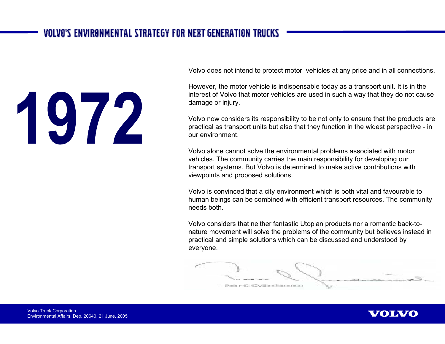# 1972

Volvo does not intend to protect motor vehicles at any price and in all connections.

However, the motor vehicle is indispensable today as <sup>a</sup> transport unit. It is in the interest of Volvo that motor vehicles are used in such <sup>a</sup> way that they do not cause damage or injury.

Volvo now considers its responsibility to be not only to ensure that the products are practical as transport units but also that they function in the widest perspective - in our environment.

Volvo alone cannot solve the environmental problems associated with motor vehicles. The community carries the main responsibility for developing our transport systems. But Volvo is determined to make active contributions with viewpoints and proposed solutions.

Volvo is convinced that <sup>a</sup> city environment which is both vital and favourable to human beings can be combined with efficient transport resources. The community needs both.

Volvo considers that neither fantastic Utopian products nor <sup>a</sup> romantic back-tonature movement will solve the problems of the community but believes instead in practical and simple solutions which can be discussed and understood by everyone.

br G Györnharnra

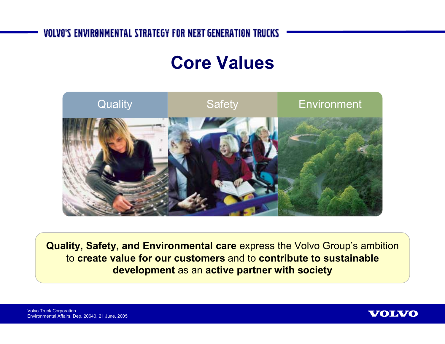## **Core Values**



**Quality, Safety, and Environmental care** express the Volvo Group's ambition to <mark>create value for our customers</mark> and to **contribute to sustainable development** as an **active partner with society development** as an **active partner with society**

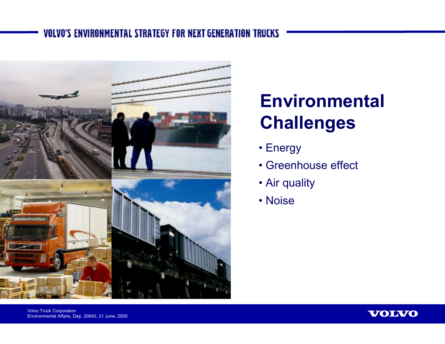

# **Environmental Challenges**

- Energy
- Greenhouse effect
- Air quality
- Noise

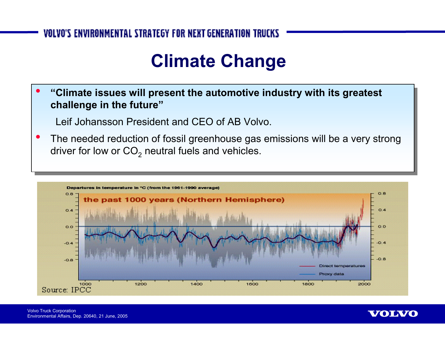## **Climate Change**

• "Climate issues will present the automotive industry with its greatest **challenge in the future" challenge in the future"** •

Leif Johansson President and CEO of AB Volvo.

 The needed reduction of fossil greenhouse gas emissions will be <sup>a</sup> very strong The needed reduction of fossil greenhouse gas emissions will be <sup>a</sup> very strong driver for low or CO<sub>2</sub> neutral fuels and vehicles. •

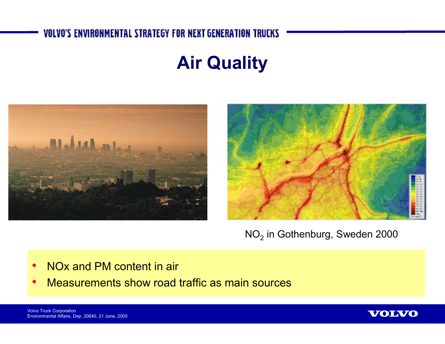## **Air Quality**





NO $_2$  in Gothenburg, Sweden 2000

- •NOx and PM content in air
- •Measurements show road traffic as main sources

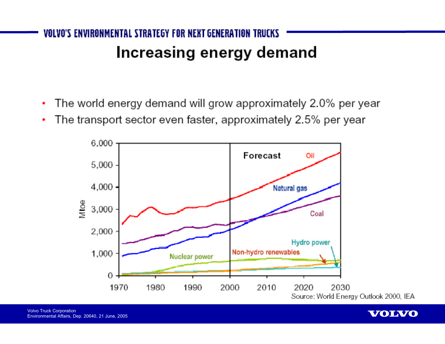## VOLVO'S ENVIRONMENTAL STRATEGY FOR NEXT GENERATION TRUCKS Increasing energy demand

- The world energy demand will grow approximately 2.0% per year ٠
- The transport sector even faster, approximately 2.5% per year ٠

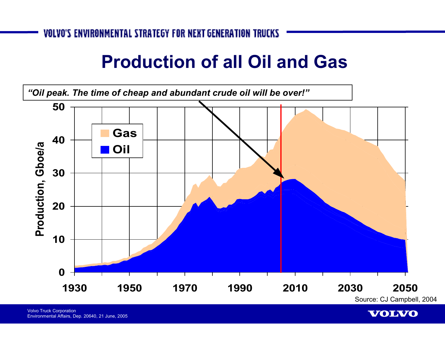## **Production ofall Oil and Gas**

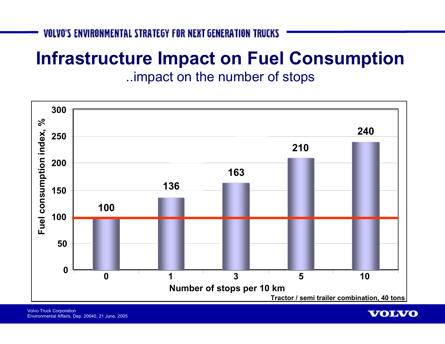# **Infrastructure Impact on Fuel Consumption**

..impact on the number of stops

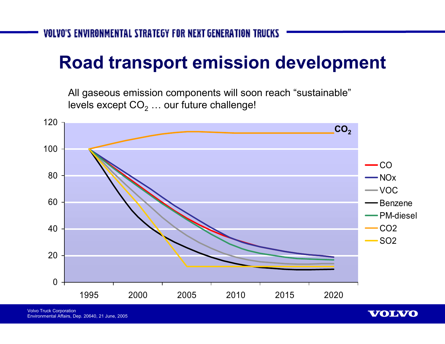## **Road transport emission development**

All gaseous emission components will soon reach "sustainable" levels except CO $_2$  … our future challenge!

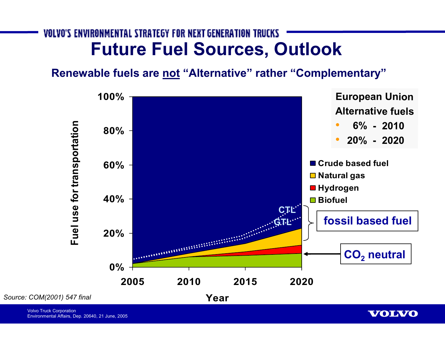## VOLVO'S ENVIRONMENTAL STRATEGY FOR NEXT GENERATION TRUCKS **Future Fuel Sources, Outlook**

## **Renewable fuels are not "Alternative" rather "Complementary"**



**VOLVO** 

Volvo Truck Corporation Environmental Affairs, Dep. 20640, 21 June, 2005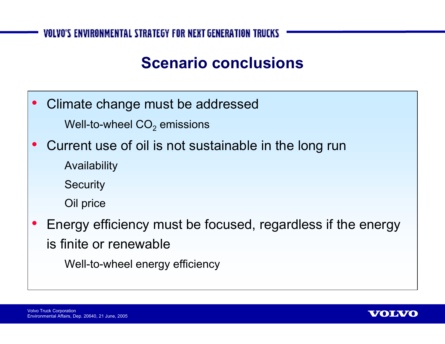## **Scenario conclusions**

 $\bullet$ Climate change must be addressed Climate change must be addressed

Well-to-wheel CO $_{\rm 2}$  emissions

 Current use of oil is not sustainable in the long run Current use of oil is not sustainable in the long run  $\bullet$ 

Availability Availability

Security Security

Oil price Oil price

 Energy efficiency must be focused, regardless if the energy Energy efficiency must be focused, regardless if the energy is finite or renewable  $\bullet$ 

Well-to-wheel energy efficiency Well-to-wheel energy efficiency

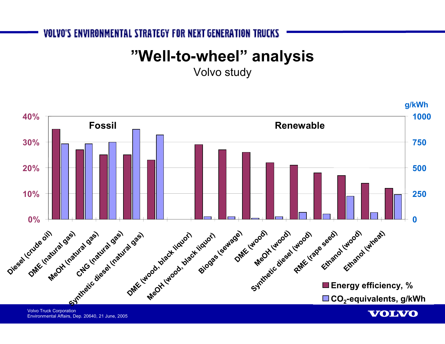## **"Well-to-wheel" analysis**

Volvo study

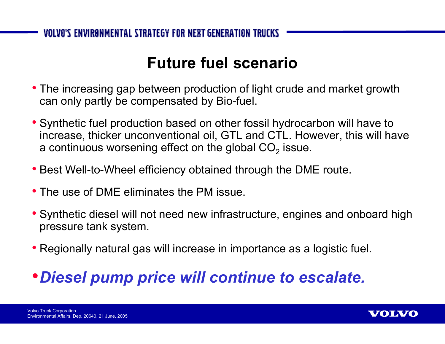## **Future fuel scenario**

- The increasing gap between production of light crude and market growth can only partly be compensated by Bio-fuel.
- Synthetic fuel production based on other fossil hydrocarbon will have to increase, thicker unconventional oil, GTL and CTL. However, this will have a continuous worsening effect on the global CO $_2$  issue.
- Best Well-to-Wheel efficiency obtained through the DME route.
- The use of DME eliminates the PM issue.
- Synthetic diesel will not need new infrastructure, engines and onboard high pressure tank system.
- Regionally natural gas will increase in importance as <sup>a</sup> logistic fuel.

## •*Diesel pump price will continue to escalate.*

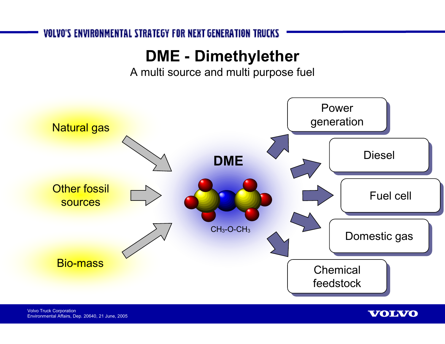## **DME - Dimethylether**

A multi source and multi purpose fuel



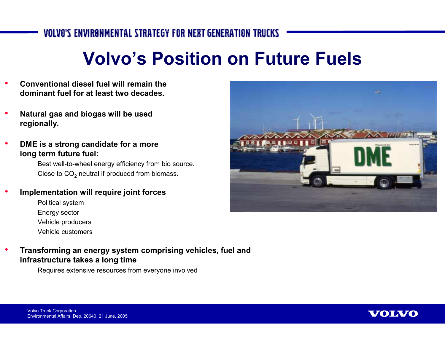# **Volvo's Position on Future Fuels**

- • **Conventional diesel fuel will remain thedominant fuel for at least two decades.**
- • **Natural gas and biogas will be used regionally.**
- • **DME is <sup>a</sup> strong candidate for <sup>a</sup> more long term future fuel:**

Best well-to-wheel energy efficiency from bio source. Close to CO $_2$  neutral if produced from biomass.

- • **Implementation will require joint forces**
	- Political system Energy sector Vehicle producers Vehicle customers
- • **Transforming an energy system comprising vehicles, fuel and infrastructure takes <sup>a</sup> long time**

Requires extensive resources from everyone involved



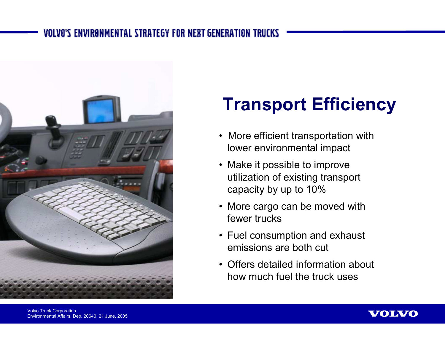

# **Transport Efficiency**

- More efficient transportation with lower environmental impact
- Make it possible to improve utilization of existing transport capacity by up to 10%
- More cargo can be moved with fewer trucks
- Fuel consumption and exhaust emissions are both cut
- Offers detailed information abouthow much fuel the truck uses

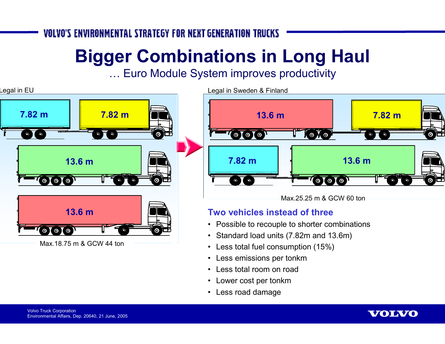# **Bigger Combinations in Long Haul**

… Euro Module System improves productivity



- Less total room on road
- Lower cost per tonkm
- Less road damage

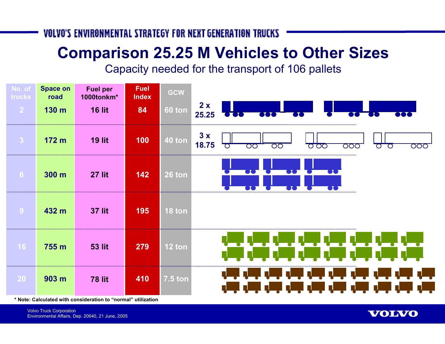## **Comparison 25.25 M Vehicles to Other Sizes**

Capacity needed for the transport of 106 pallets

| No. of<br>trucks<br>$\mathbf{2}$ | <b>Space on</b><br>road<br>130 m | <b>Fuel per</b><br>1000tonkm*<br><b>16 lit</b> | <b>Fuel</b><br><b>Index</b><br>84 | GCW<br><b>60 ton</b> | 2x<br>25.25<br>$\mathbf{T}$<br>noo                                                                              |
|----------------------------------|----------------------------------|------------------------------------------------|-----------------------------------|----------------------|-----------------------------------------------------------------------------------------------------------------|
| 3                                | 172 <sub>m</sub>                 | <b>19 lit</b>                                  | 100                               | 40 ton               | 3x<br>18.75<br>ਠਰ<br>000<br><u>000</u><br>ਠਰ<br>で<br>000<br>$\overline{\mathcal{O}}$<br>$\overline{\mathbf{C}}$ |
| 6 <sup>1</sup>                   | 300 m                            | <b>27 lit</b>                                  | 142                               | 26 ton               |                                                                                                                 |
| 9                                | 432 m                            | <b>37 lit</b>                                  | 195                               | $18$ ton             |                                                                                                                 |
| 16                               | 755 m                            | <b>53 lit</b>                                  | 279                               | 12 ton               |                                                                                                                 |
| <b>20</b>                        | 903 m                            | <b>78 lit</b>                                  | 410                               | $7.\overline{5}$ ton |                                                                                                                 |

**\* Note: Calculated with consideration to "normal" utilization**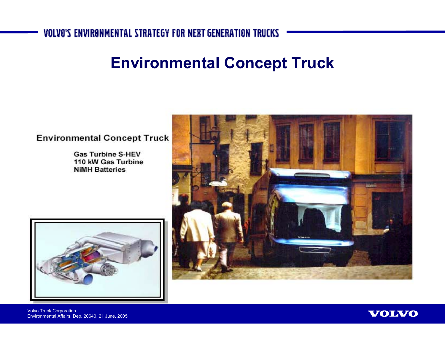## **Environmental Concept Truck**

#### **Environmental Concept Truck**

**Gas Turbine S-HEV** 110 kW Gas Turbine **NiMH Batteries** 





Volvo Truck Corporation Environmental Affairs, Dep. 20640, 21 June, 2005

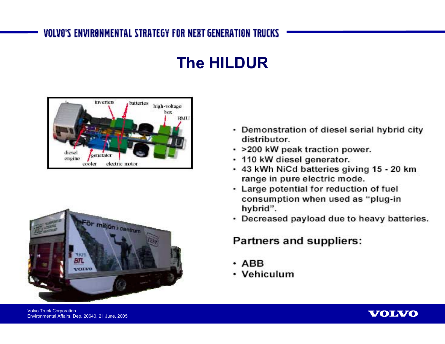## **The HILDUR**





• Demonstration of diesel serial hybrid city distributor.

- · >200 kW peak traction power.
- · 110 kW diesel generator.
- 43 kWh NiCd batteries giving 15 20 km range in pure electric mode.
- Large potential for reduction of fuel consumption when used as "plug-in hybrid".
- Decreased payload due to heavy batteries.

### **Partners and suppliers:**

- ABB
- Vehiculum

Volvo Truck Corporation Environmental Affairs, Dep. 20640, 21 June, 2005